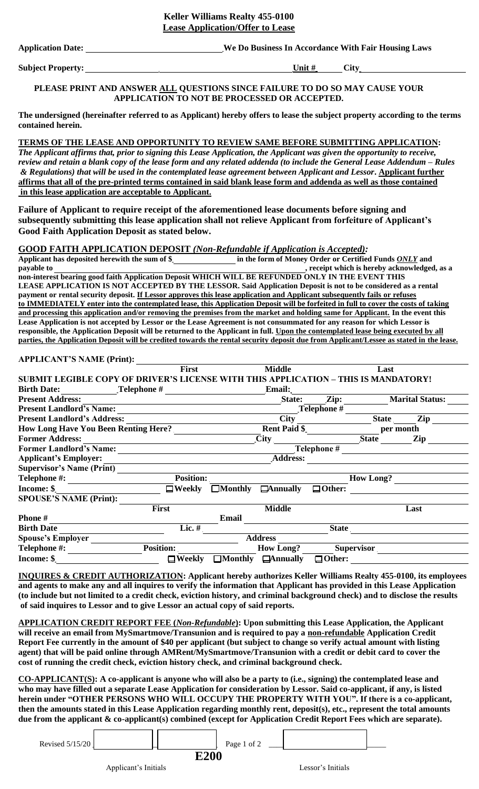# **Keller Williams Realty 455-0100 Lease Application/Offer to Lease**

**Application Date: \_\_\_\_\_\_\_\_\_\_\_\_\_\_\_\_\_\_\_\_\_\_\_\_\_\_\_\_\_\_\_\_We Do Business In Accordance With Fair Housing Laws** 

**Subject Property:** City

#### **PLEASE PRINT AND ANSWER ALL QUESTIONS SINCE FAILURE TO DO SO MAY CAUSE YOUR APPLICATION TO NOT BE PROCESSED OR ACCEPTED.**

**The undersigned (hereinafter referred to as Applicant) hereby offers to lease the subject property according to the terms contained herein.** 

# **TERMS OF THE LEASE AND OPPORTUNITY TO REVIEW SAME BEFORE SUBMITTING APPLICATION:**

*The Applicant affirms that, prior to signing this Lease Application, the Applicant was given the opportunity to receive, review and retain a blank copy of the lease form and any related addenda (to include the General Lease Addendum – Rules & Regulations) that will be used in the contemplated lease agreement between Applicant and Lessor***. Applicant further affirms that all of the pre-printed terms contained in said blank lease form and addenda as well as those contained in this lease application are acceptable to Applicant.** 

**Failure of Applicant to require receipt of the aforementioned lease documents before signing and subsequently submitting this lease application shall not relieve Applicant from forfeiture of Applicant's Good Faith Application Deposit as stated below.** 

# **GOOD FAITH APPLICATION DEPOSIT** *(Non-Refundable if Application is Accepted):*

**Applicant has deposited herewith the sum of \$\_\_\_\_\_\_\_\_\_\_\_\_\_\_\_\_ in the form of Money Order or Certified Funds** *ONLY* **and payable to payable to payable to payable to payable to payable to payable to payable to payable to payable to payable to payable to payable to payable to payable to payable to payable to non-interest bearing good faith Application Deposit WHICH WILL BE REFUNDED ONLY IN THE EVENT THIS LEASE APPLICATION IS NOT ACCEPTED BY THE LESSOR. Said Application Deposit is not to be considered as a rental payment or rental security deposit. If Lessor approves this lease application and Applicant subsequently fails or refuses to IMMEDIATELY enter into the contemplated lease, this Application Deposit will be forfeited in full to cover the costs of taking and processing this application and/or removing the premises from the market and holding same for Applicant. In the event this Lease Application is not accepted by Lessor or the Lease Agreement is not consummated for any reason for which Lessor is responsible, the Application Deposit will be returned to the Applicant in full. Upon the contemplated lease being executed by all parties, the Application Deposit will be credited towards the rental security deposit due from Applicant/Lessee as stated in the lease.** 

#### **APPLICANT'S NAME (Print):**

|                                                                                    | <b>First</b>     |                 | <b>Middle</b>       |                   | Last         |                        |  |
|------------------------------------------------------------------------------------|------------------|-----------------|---------------------|-------------------|--------------|------------------------|--|
| SUBMIT LEGIBLE COPY OF DRIVER'S LICENSE WITH THIS APPLICATION – THIS IS MANDATORY! |                  |                 |                     |                   |              |                        |  |
| <b>Birth Date:</b>                                                                 | _Telephone $#$   |                 | <b>Email:</b>       |                   |              |                        |  |
| <b>Present Address:</b>                                                            |                  |                 | State:              | Zip:              |              | <b>Marital Status:</b> |  |
| <b>Present Landlord's Name:</b>                                                    |                  | Telephone #     |                     |                   |              |                        |  |
| <b>Present Landlord's Address:</b>                                                 |                  |                 | <b>City</b>         |                   | <b>State</b> | Zip                    |  |
| <b>How Long Have You Been Renting Here?</b>                                        |                  |                 | <b>Rent Paid \$</b> |                   |              | per month              |  |
| <b>Former Address:</b>                                                             |                  |                 | <b>City</b>         |                   | <b>State</b> | Zip                    |  |
| <b>Former Landlord's Name:</b>                                                     |                  | Telephone #     |                     |                   |              |                        |  |
| <b>Applicant's Employer:</b>                                                       |                  | <b>Address:</b> |                     |                   |              |                        |  |
| <b>Supervisor's Name (Print)</b>                                                   |                  |                 |                     |                   |              |                        |  |
| Telephone #:                                                                       | <b>Position:</b> |                 | <b>How Long?</b>    |                   |              |                        |  |
| Income: \$                                                                         | $\Box$ Weekly    | $\Box$ Monthly  | $\Box$ Annually     | $\Box$ Other:     |              |                        |  |
| <b>SPOUSE'S NAME (Print):</b>                                                      |                  |                 |                     |                   |              |                        |  |
|                                                                                    | First            |                 | <b>Middle</b>       |                   |              | Last                   |  |
| <b>Phone#</b>                                                                      |                  | Email           |                     |                   |              |                        |  |
| <b>Birth Date</b>                                                                  | Lic. #           |                 | <b>State</b>        |                   |              |                        |  |
| <b>Spouse's Employer</b>                                                           |                  | <b>Address</b>  |                     |                   |              |                        |  |
| Telephone #:                                                                       | <b>Position:</b> |                 | <b>How Long?</b>    | <b>Supervisor</b> |              |                        |  |
| Income: \$                                                                         | Weekly<br>□      | $\Box$ Monthly  | $\Box$ Annually     | $\Box$ Other:     |              |                        |  |

**INQUIRES & CREDIT AUTHORIZATION: Applicant hereby authorizes Keller Williams Realty 455-0100, its employees and agents to make any and all inquires to verify the information that Applicant has provided in this Lease Application (to include but not limited to a credit check, eviction history, and criminal background check) and to disclose the results of said inquires to Lessor and to give Lessor an actual copy of said reports.** 

**APPLICATION CREDIT REPORT FEE (***Non-Refundable***): Upon submitting this Lease Application, the Applicant**  will receive an email from MySmartmove/Transunion and is required to pay a non-refundable Application Credit **Report Fee currently in the amount of \$40 per applicant (but subject to change so verify actual amount with listing agent) that will be paid online through AMRent/MySmartmove/Transunion with a credit or debit card to cover the cost of running the credit check, eviction history check, and criminal background check.** 

**CO-APPLICANT(S): A co-applicant is anyone who will also be a party to (i.e., signing) the contemplated lease and who may have filled out a separate Lease Application for consideration by Lessor. Said co-applicant, if any, is listed herein under "OTHER PERSONS WHO WILL OCCUPY THE PROPERTY WITH YOU". If there is a co-applicant, then the amounts stated in this Lease Application regarding monthly rent, deposit(s), etc., represent the total amounts due from the applicant & co-applicant(s) combined (except for Application Credit Report Fees which are separate).**